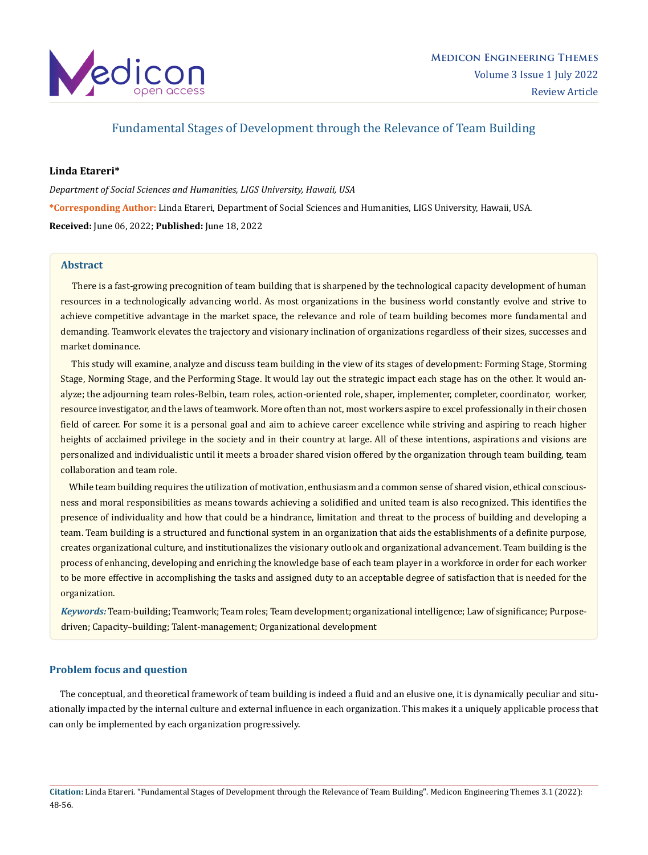

# Fundamental Stages of Development through the Relevance of Team Building

# **Linda Etareri\***

*Department of Social Sciences and Humanities, LIGS University, Hawaii, USA* **\*Corresponding Author:** Linda Etareri, Department of Social Sciences and Humanities, LIGS University, Hawaii, USA. **Received:** June 06, 2022; **Published:** June 18, 2022

# **Abstract**

 There is a fast-growing precognition of team building that is sharpened by the technological capacity development of human resources in a technologically advancing world. As most organizations in the business world constantly evolve and strive to achieve competitive advantage in the market space, the relevance and role of team building becomes more fundamental and demanding. Teamwork elevates the trajectory and visionary inclination of organizations regardless of their sizes, successes and market dominance.

 This study will examine, analyze and discuss team building in the view of its stages of development: Forming Stage, Storming Stage, Norming Stage, and the Performing Stage. It would lay out the strategic impact each stage has on the other. It would analyze; the adjourning team roles-Belbin, team roles, action-oriented role, shaper, implementer, completer, coordinator, worker, resource investigator, and the laws of teamwork. More often than not, most workers aspire to excel professionally in their chosen field of career. For some it is a personal goal and aim to achieve career excellence while striving and aspiring to reach higher heights of acclaimed privilege in the society and in their country at large. All of these intentions, aspirations and visions are personalized and individualistic until it meets a broader shared vision offered by the organization through team building, team collaboration and team role.

While team building requires the utilization of motivation, enthusiasm and a common sense of shared vision, ethical consciousness and moral responsibilities as means towards achieving a solidified and united team is also recognized. This identifies the presence of individuality and how that could be a hindrance, limitation and threat to the process of building and developing a team. Team building is a structured and functional system in an organization that aids the establishments of a definite purpose, creates organizational culture, and institutionalizes the visionary outlook and organizational advancement. Team building is the process of enhancing, developing and enriching the knowledge base of each team player in a workforce in order for each worker to be more effective in accomplishing the tasks and assigned duty to an acceptable degree of satisfaction that is needed for the organization.

*Keywords:* Team-building; Teamwork; Team roles; Team development; organizational intelligence; Law of significance; Purposedriven; Capacity–building; Talent-management; Organizational development

# **Problem focus and question**

 The conceptual, and theoretical framework of team building is indeed a fluid and an elusive one, it is dynamically peculiar and situationally impacted by the internal culture and external influence in each organization. This makes it a uniquely applicable process that can only be implemented by each organization progressively.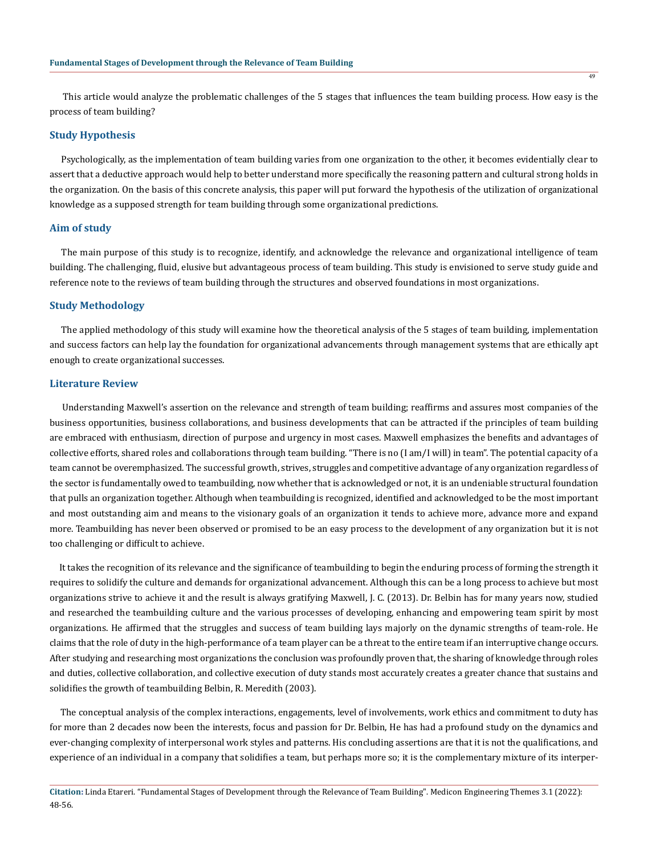This article would analyze the problematic challenges of the 5 stages that influences the team building process. How easy is the process of team building?

### **Study Hypothesis**

 Psychologically, as the implementation of team building varies from one organization to the other, it becomes evidentially clear to assert that a deductive approach would help to better understand more specifically the reasoning pattern and cultural strong holds in the organization. On the basis of this concrete analysis, this paper will put forward the hypothesis of the utilization of organizational knowledge as a supposed strength for team building through some organizational predictions.

# **Aim of study**

 The main purpose of this study is to recognize, identify, and acknowledge the relevance and organizational intelligence of team building. The challenging, fluid, elusive but advantageous process of team building. This study is envisioned to serve study guide and reference note to the reviews of team building through the structures and observed foundations in most organizations.

### **Study Methodology**

 The applied methodology of this study will examine how the theoretical analysis of the 5 stages of team building, implementation and success factors can help lay the foundation for organizational advancements through management systems that are ethically apt enough to create organizational successes.

#### **Literature Review**

 Understanding Maxwell's assertion on the relevance and strength of team building; reaffirms and assures most companies of the business opportunities, business collaborations, and business developments that can be attracted if the principles of team building are embraced with enthusiasm, direction of purpose and urgency in most cases. Maxwell emphasizes the benefits and advantages of collective efforts, shared roles and collaborations through team building. "There is no (I am/I will) in team". The potential capacity of a team cannot be overemphasized. The successful growth, strives, struggles and competitive advantage of any organization regardless of the sector is fundamentally owed to teambuilding, now whether that is acknowledged or not, it is an undeniable structural foundation that pulls an organization together. Although when teambuilding is recognized, identified and acknowledged to be the most important and most outstanding aim and means to the visionary goals of an organization it tends to achieve more, advance more and expand more. Teambuilding has never been observed or promised to be an easy process to the development of any organization but it is not too challenging or difficult to achieve.

 It takes the recognition of its relevance and the significance of teambuilding to begin the enduring process of forming the strength it requires to solidify the culture and demands for organizational advancement. Although this can be a long process to achieve but most organizations strive to achieve it and the result is always gratifying Maxwell, J. C. (2013). Dr. Belbin has for many years now, studied and researched the teambuilding culture and the various processes of developing, enhancing and empowering team spirit by most organizations. He affirmed that the struggles and success of team building lays majorly on the dynamic strengths of team-role. He claims that the role of duty in the high-performance of a team player can be a threat to the entire team if an interruptive change occurs. After studying and researching most organizations the conclusion was profoundly proven that, the sharing of knowledge through roles and duties, collective collaboration, and collective execution of duty stands most accurately creates a greater chance that sustains and solidifies the growth of teambuilding Belbin, R. Meredith (2003).

 The conceptual analysis of the complex interactions, engagements, level of involvements, work ethics and commitment to duty has for more than 2 decades now been the interests, focus and passion for Dr. Belbin, He has had a profound study on the dynamics and ever-changing complexity of interpersonal work styles and patterns. His concluding assertions are that it is not the qualifications, and experience of an individual in a company that solidifies a team, but perhaps more so; it is the complementary mixture of its interper-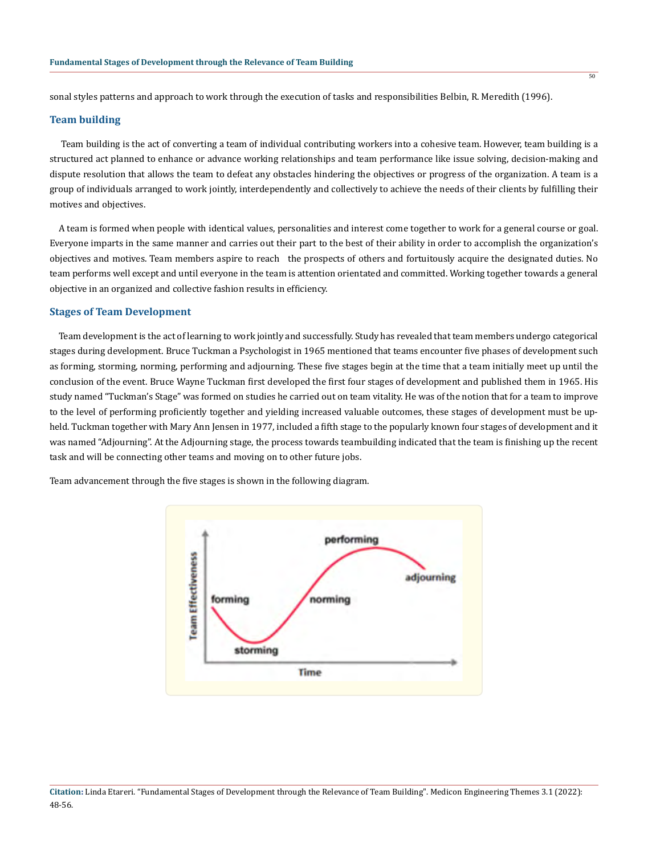sonal styles patterns and approach to work through the execution of tasks and responsibilities Belbin, R. Meredith (1996).

### **Team building**

 Team building is the act of converting a team of individual contributing workers into a cohesive team. However, team building is a structured act planned to enhance or advance working relationships and team performance like issue solving, decision-making and dispute resolution that allows the team to defeat any obstacles hindering the objectives or progress of the organization. A team is a group of individuals arranged to work jointly, interdependently and collectively to achieve the needs of their clients by fulfilling their motives and objectives.

 A team is formed when people with identical values, personalities and interest come together to work for a general course or goal. Everyone imparts in the same manner and carries out their part to the best of their ability in order to accomplish the organization's objectives and motives. Team members aspire to reach the prospects of others and fortuitously acquire the designated duties. No team performs well except and until everyone in the team is attention orientated and committed. Working together towards a general objective in an organized and collective fashion results in efficiency.

### **Stages of Team Development**

 Team development is the act of learning to work jointly and successfully. Study has revealed that team members undergo categorical stages during development. Bruce Tuckman a Psychologist in 1965 mentioned that teams encounter five phases of development such as forming, storming, norming, performing and adjourning. These five stages begin at the time that a team initially meet up until the conclusion of the event. Bruce Wayne Tuckman first developed the first four stages of development and published them in 1965. His study named "Tuckman's Stage" was formed on studies he carried out on team vitality. He was of the notion that for a team to improve to the level of performing proficiently together and yielding increased valuable outcomes, these stages of development must be upheld. Tuckman together with Mary Ann Jensen in 1977, included a fifth stage to the popularly known four stages of development and it was named "Adjourning". At the Adjourning stage, the process towards teambuilding indicated that the team is finishing up the recent task and will be connecting other teams and moving on to other future jobs.

Team advancement through the five stages is shown in the following diagram.



### **Citation:** Linda Etareri. "Fundamental Stages of Development through the Relevance of Team Building". Medicon Engineering Themes 3.1 (2022): 48-56.

 $\overline{50}$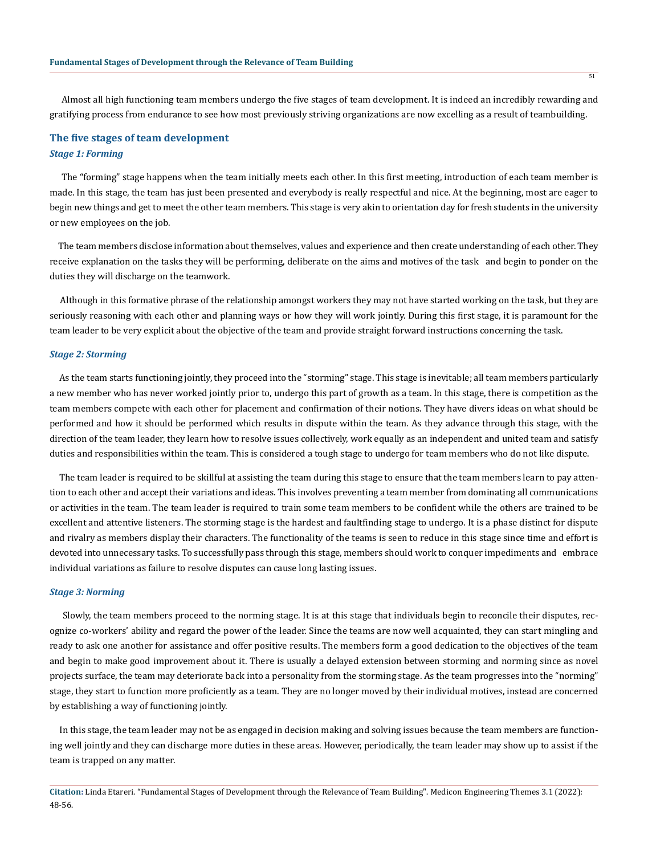Almost all high functioning team members undergo the five stages of team development. It is indeed an incredibly rewarding and gratifying process from endurance to see how most previously striving organizations are now excelling as a result of teambuilding.

# **The five stages of team development**

# *Stage 1: Forming*

 The "forming" stage happens when the team initially meets each other. In this first meeting, introduction of each team member is made. In this stage, the team has just been presented and everybody is really respectful and nice. At the beginning, most are eager to begin new things and get to meet the other team members. This stage is very akin to orientation day for fresh students in the university or new employees on the job.

 The team members disclose information about themselves, values and experience and then create understanding of each other. They receive explanation on the tasks they will be performing, deliberate on the aims and motives of the task and begin to ponder on the duties they will discharge on the teamwork.

 Although in this formative phrase of the relationship amongst workers they may not have started working on the task, but they are seriously reasoning with each other and planning ways or how they will work jointly. During this first stage, it is paramount for the team leader to be very explicit about the objective of the team and provide straight forward instructions concerning the task.

### *Stage 2: Storming*

 As the team starts functioning jointly, they proceed into the "storming" stage. This stage is inevitable; all team members particularly a new member who has never worked jointly prior to, undergo this part of growth as a team. In this stage, there is competition as the team members compete with each other for placement and confirmation of their notions. They have divers ideas on what should be performed and how it should be performed which results in dispute within the team. As they advance through this stage, with the direction of the team leader, they learn how to resolve issues collectively, work equally as an independent and united team and satisfy duties and responsibilities within the team. This is considered a tough stage to undergo for team members who do not like dispute.

 The team leader is required to be skillful at assisting the team during this stage to ensure that the team members learn to pay attention to each other and accept their variations and ideas. This involves preventing a team member from dominating all communications or activities in the team. The team leader is required to train some team members to be confident while the others are trained to be excellent and attentive listeners. The storming stage is the hardest and faultfinding stage to undergo. It is a phase distinct for dispute and rivalry as members display their characters. The functionality of the teams is seen to reduce in this stage since time and effort is devoted into unnecessary tasks. To successfully pass through this stage, members should work to conquer impediments and embrace individual variations as failure to resolve disputes can cause long lasting issues.

### *Stage 3: Norming*

 Slowly, the team members proceed to the norming stage. It is at this stage that individuals begin to reconcile their disputes, recognize co-workers' ability and regard the power of the leader. Since the teams are now well acquainted, they can start mingling and ready to ask one another for assistance and offer positive results. The members form a good dedication to the objectives of the team and begin to make good improvement about it. There is usually a delayed extension between storming and norming since as novel projects surface, the team may deteriorate back into a personality from the storming stage. As the team progresses into the "norming" stage, they start to function more proficiently as a team. They are no longer moved by their individual motives, instead are concerned by establishing a way of functioning jointly.

 In this stage, the team leader may not be as engaged in decision making and solving issues because the team members are functioning well jointly and they can discharge more duties in these areas. However, periodically, the team leader may show up to assist if the team is trapped on any matter.

**Citation:** Linda Etareri. "Fundamental Stages of Development through the Relevance of Team Building". Medicon Engineering Themes 3.1 (2022): 48-56.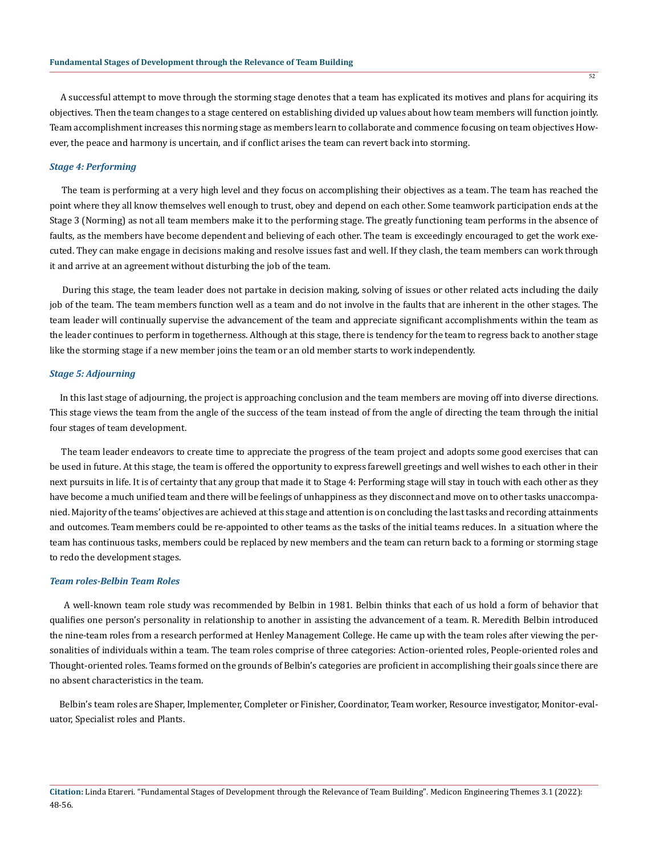A successful attempt to move through the storming stage denotes that a team has explicated its motives and plans for acquiring its objectives. Then the team changes to a stage centered on establishing divided up values about how team members will function jointly. Team accomplishment increases this norming stage as members learn to collaborate and commence focusing on team objectives However, the peace and harmony is uncertain, and if conflict arises the team can revert back into storming.

### *Stage 4: Performing*

 The team is performing at a very high level and they focus on accomplishing their objectives as a team. The team has reached the point where they all know themselves well enough to trust, obey and depend on each other. Some teamwork participation ends at the Stage 3 (Norming) as not all team members make it to the performing stage. The greatly functioning team performs in the absence of faults, as the members have become dependent and believing of each other. The team is exceedingly encouraged to get the work executed. They can make engage in decisions making and resolve issues fast and well. If they clash, the team members can work through it and arrive at an agreement without disturbing the job of the team.

 During this stage, the team leader does not partake in decision making, solving of issues or other related acts including the daily job of the team. The team members function well as a team and do not involve in the faults that are inherent in the other stages. The team leader will continually supervise the advancement of the team and appreciate significant accomplishments within the team as the leader continues to perform in togetherness. Although at this stage, there is tendency for the team to regress back to another stage like the storming stage if a new member joins the team or an old member starts to work independently.

# *Stage 5: Adjourning*

 In this last stage of adjourning, the project is approaching conclusion and the team members are moving off into diverse directions. This stage views the team from the angle of the success of the team instead of from the angle of directing the team through the initial four stages of team development.

 The team leader endeavors to create time to appreciate the progress of the team project and adopts some good exercises that can be used in future. At this stage, the team is offered the opportunity to express farewell greetings and well wishes to each other in their next pursuits in life. It is of certainty that any group that made it to Stage 4: Performing stage will stay in touch with each other as they have become a much unified team and there will be feelings of unhappiness as they disconnect and move on to other tasks unaccompanied. Majority of the teams' objectives are achieved at this stage and attention is on concluding the last tasks and recording attainments and outcomes. Team members could be re-appointed to other teams as the tasks of the initial teams reduces. In a situation where the team has continuous tasks, members could be replaced by new members and the team can return back to a forming or storming stage to redo the development stages.

### *Team roles-Belbin Team Roles*

 A well-known team role study was recommended by Belbin in 1981. Belbin thinks that each of us hold a form of behavior that qualifies one person's personality in relationship to another in assisting the advancement of a team. R. Meredith Belbin introduced the nine-team roles from a research performed at Henley Management College. He came up with the team roles after viewing the personalities of individuals within a team. The team roles comprise of three categories: Action-oriented roles, People-oriented roles and Thought-oriented roles. Teams formed on the grounds of Belbin's categories are proficient in accomplishing their goals since there are no absent characteristics in the team.

 Belbin's team roles are Shaper, Implementer, Completer or Finisher, Coordinator, Team worker, Resource investigator, Monitor-evaluator, Specialist roles and Plants.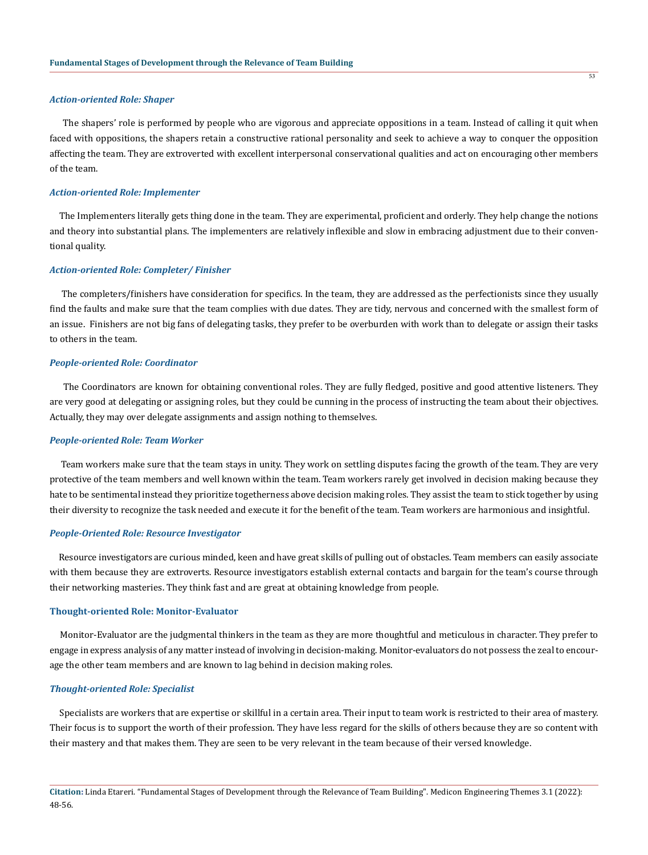### *Action-oriented Role: Shaper*

 The shapers' role is performed by people who are vigorous and appreciate oppositions in a team. Instead of calling it quit when faced with oppositions, the shapers retain a constructive rational personality and seek to achieve a way to conquer the opposition affecting the team. They are extroverted with excellent interpersonal conservational qualities and act on encouraging other members of the team.

### *Action-oriented Role: Implementer*

 The Implementers literally gets thing done in the team. They are experimental, proficient and orderly. They help change the notions and theory into substantial plans. The implementers are relatively inflexible and slow in embracing adjustment due to their conventional quality.

### *Action-oriented Role: Completer/ Finisher*

 The completers/finishers have consideration for specifics. In the team, they are addressed as the perfectionists since they usually find the faults and make sure that the team complies with due dates. They are tidy, nervous and concerned with the smallest form of an issue. Finishers are not big fans of delegating tasks, they prefer to be overburden with work than to delegate or assign their tasks to others in the team.

# *People-oriented Role: Coordinator*

 The Coordinators are known for obtaining conventional roles. They are fully fledged, positive and good attentive listeners. They are very good at delegating or assigning roles, but they could be cunning in the process of instructing the team about their objectives. Actually, they may over delegate assignments and assign nothing to themselves.

#### *People-oriented Role: Team Worker*

 Team workers make sure that the team stays in unity. They work on settling disputes facing the growth of the team. They are very protective of the team members and well known within the team. Team workers rarely get involved in decision making because they hate to be sentimental instead they prioritize togetherness above decision making roles. They assist the team to stick together by using their diversity to recognize the task needed and execute it for the benefit of the team. Team workers are harmonious and insightful.

## *People-Oriented Role: Resource Investigator*

 Resource investigators are curious minded, keen and have great skills of pulling out of obstacles. Team members can easily associate with them because they are extroverts. Resource investigators establish external contacts and bargain for the team's course through their networking masteries. They think fast and are great at obtaining knowledge from people.

### **Thought-oriented Role: Monitor-Evaluator**

 Monitor-Evaluator are the judgmental thinkers in the team as they are more thoughtful and meticulous in character. They prefer to engage in express analysis of any matter instead of involving in decision-making. Monitor-evaluators do not possess the zeal to encourage the other team members and are known to lag behind in decision making roles.

### *Thought-oriented Role: Specialist*

 Specialists are workers that are expertise or skillful in a certain area. Their input to team work is restricted to their area of mastery. Their focus is to support the worth of their profession. They have less regard for the skills of others because they are so content with their mastery and that makes them. They are seen to be very relevant in the team because of their versed knowledge.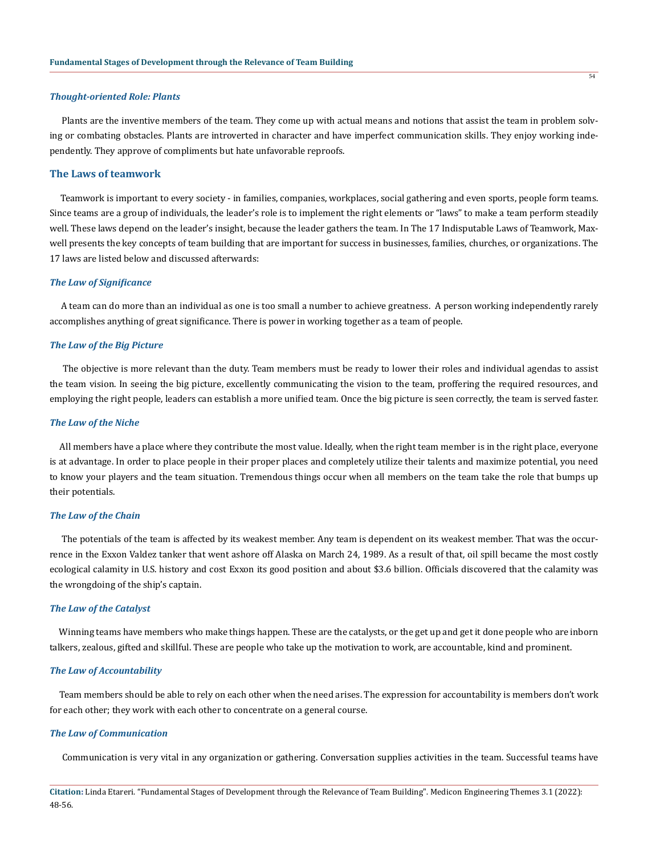#### *Thought-oriented Role: Plants*

 Plants are the inventive members of the team. They come up with actual means and notions that assist the team in problem solving or combating obstacles. Plants are introverted in character and have imperfect communication skills. They enjoy working independently. They approve of compliments but hate unfavorable reproofs.

# **The Laws of teamwork**

 Teamwork is important to every society - in families, companies, workplaces, social gathering and even sports, people form teams. Since teams are a group of individuals, the leader's role is to implement the right elements or "laws" to make a team perform steadily well. These laws depend on the leader's insight, because the leader gathers the team. In The 17 Indisputable Laws of Teamwork, Maxwell presents the key concepts of team building that are important for success in businesses, families, churches, or organizations. The 17 laws are listed below and discussed afterwards:

### *The Law of Significance*

 A team can do more than an individual as one is too small a number to achieve greatness. A person working independently rarely accomplishes anything of great significance. There is power in working together as a team of people.

# *The Law of the Big Picture*

 The objective is more relevant than the duty. Team members must be ready to lower their roles and individual agendas to assist the team vision. In seeing the big picture, excellently communicating the vision to the team, proffering the required resources, and employing the right people, leaders can establish a more unified team. Once the big picture is seen correctly, the team is served faster.

# *The Law of the Niche*

 All members have a place where they contribute the most value. Ideally, when the right team member is in the right place, everyone is at advantage. In order to place people in their proper places and completely utilize their talents and maximize potential, you need to know your players and the team situation. Tremendous things occur when all members on the team take the role that bumps up their potentials.

# *The Law of the Chain*

 The potentials of the team is affected by its weakest member. Any team is dependent on its weakest member. That was the occurrence in the Exxon Valdez tanker that went ashore off Alaska on March 24, 1989. As a result of that, oil spill became the most costly ecological calamity in U.S. history and cost Exxon its good position and about \$3.6 billion. Officials discovered that the calamity was the wrongdoing of the ship's captain.

### *The Law of the Catalyst*

 Winning teams have members who make things happen. These are the catalysts, or the get up and get it done people who are inborn talkers, zealous, gifted and skillful. These are people who take up the motivation to work, are accountable, kind and prominent.

### *The Law of Accountability*

 Team members should be able to rely on each other when the need arises. The expression for accountability is members don't work for each other; they work with each other to concentrate on a general course.

### *The Law of Communication*

Communication is very vital in any organization or gathering. Conversation supplies activities in the team. Successful teams have

**Citation:** Linda Etareri. "Fundamental Stages of Development through the Relevance of Team Building". Medicon Engineering Themes 3.1 (2022): 48-56.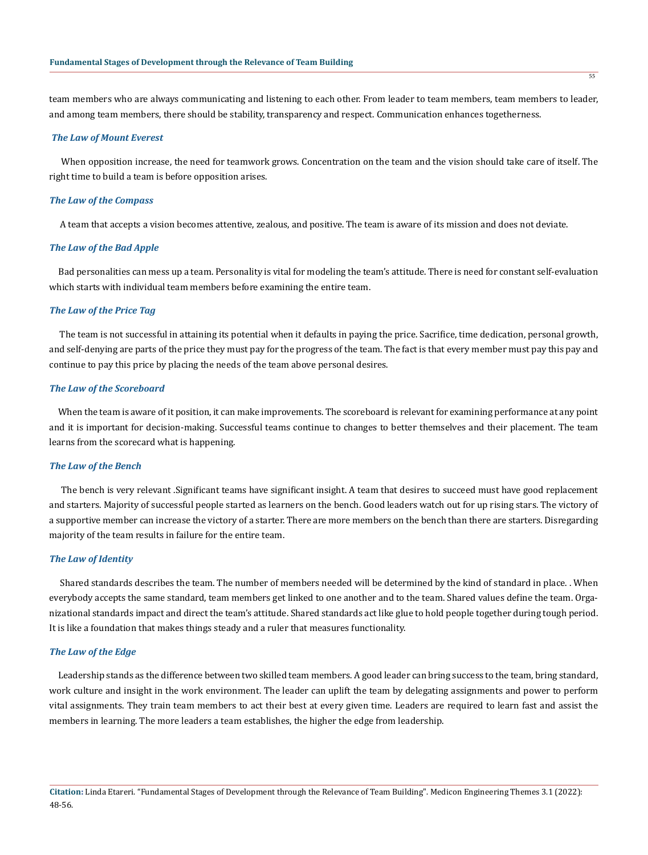team members who are always communicating and listening to each other. From leader to team members, team members to leader, and among team members, there should be stability, transparency and respect. Communication enhances togetherness.

# *The Law of Mount Everest*

 When opposition increase, the need for teamwork grows. Concentration on the team and the vision should take care of itself. The right time to build a team is before opposition arises.

### *The Law of the Compass*

A team that accepts a vision becomes attentive, zealous, and positive. The team is aware of its mission and does not deviate.

# *The Law of the Bad Apple*

 Bad personalities can mess up a team. Personality is vital for modeling the team's attitude. There is need for constant self-evaluation which starts with individual team members before examining the entire team.

### *The Law of the Price Tag*

 The team is not successful in attaining its potential when it defaults in paying the price. Sacrifice, time dedication, personal growth, and self-denying are parts of the price they must pay for the progress of the team. The fact is that every member must pay this pay and continue to pay this price by placing the needs of the team above personal desires.

### *The Law of the Scoreboard*

 When the team is aware of it position, it can make improvements. The scoreboard is relevant for examining performance at any point and it is important for decision-making. Successful teams continue to changes to better themselves and their placement. The team learns from the scorecard what is happening.

### *The Law of the Bench*

 The bench is very relevant .Significant teams have significant insight. A team that desires to succeed must have good replacement and starters. Majority of successful people started as learners on the bench. Good leaders watch out for up rising stars. The victory of a supportive member can increase the victory of a starter. There are more members on the bench than there are starters. Disregarding majority of the team results in failure for the entire team.

# *The Law of Identity*

 Shared standards describes the team. The number of members needed will be determined by the kind of standard in place. . When everybody accepts the same standard, team members get linked to one another and to the team. Shared values define the team. Organizational standards impact and direct the team's attitude. Shared standards act like glue to hold people together during tough period. It is like a foundation that makes things steady and a ruler that measures functionality.

### *The Law of the Edge*

 Leadership stands as the difference between two skilled team members. A good leader can bring success to the team, bring standard, work culture and insight in the work environment. The leader can uplift the team by delegating assignments and power to perform vital assignments. They train team members to act their best at every given time. Leaders are required to learn fast and assist the members in learning. The more leaders a team establishes, the higher the edge from leadership.